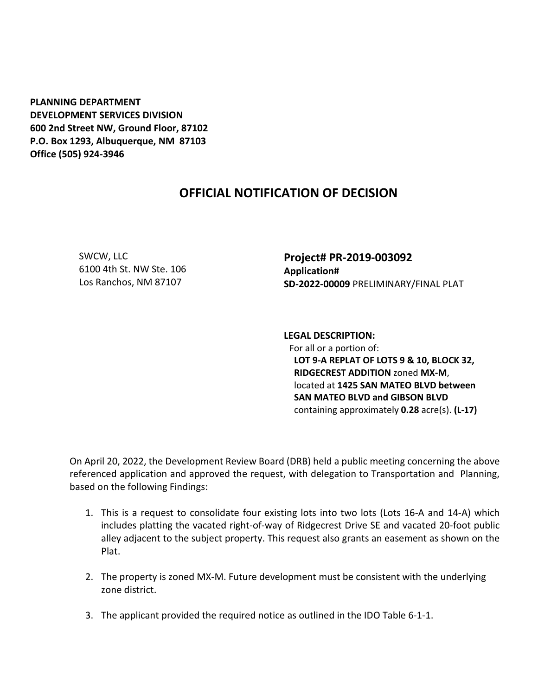**PLANNING DEPARTMENT DEVELOPMENT SERVICES DIVISION 600 2nd Street NW, Ground Floor, 87102 P.O. Box 1293, Albuquerque, NM 87103 Office (505) 924-3946** 

## **OFFICIAL NOTIFICATION OF DECISION**

SWCW, LLC 6100 4th St. NW Ste. 106 Los Ranchos, NM 87107

**Project# PR-2019-003092 Application# SD-2022-00009** PRELIMINARY/FINAL PLAT

**LEGAL DESCRIPTION:** For all or a portion of: **LOT 9-A REPLAT OF LOTS 9 & 10, BLOCK 32, RIDGECREST ADDITION** zoned **MX-M**, located at **1425 SAN MATEO BLVD between SAN MATEO BLVD and GIBSON BLVD**  containing approximately **0.28** acre(s). **(L-17)** 

On April 20, 2022, the Development Review Board (DRB) held a public meeting concerning the above referenced application and approved the request, with delegation to Transportation and Planning, based on the following Findings:

- 1. This is a request to consolidate four existing lots into two lots (Lots 16-A and 14-A) which includes platting the vacated right-of-way of Ridgecrest Drive SE and vacated 20-foot public alley adjacent to the subject property. This request also grants an easement as shown on the Plat.
- 2. The property is zoned MX-M. Future development must be consistent with the underlying zone district.
- 3. The applicant provided the required notice as outlined in the IDO Table 6-1-1.